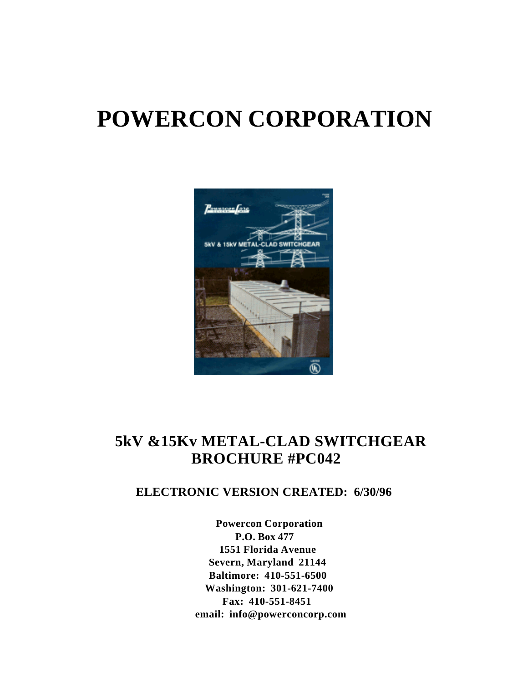# **POWERCON CORPORATION**



## **5kV &15Kv METAL-CLAD SWITCHGEAR BROCHURE #PC042**

## **ELECTRONIC VERSION CREATED: 6/30/96**

**Powercon Corporation P.O. Box 477 1551 Florida Avenue Severn, Maryland 21144 Baltimore: 410-551-6500 Washington: 301-621-7400 Fax: 410-551-8451 email: info@powerconcorp.com**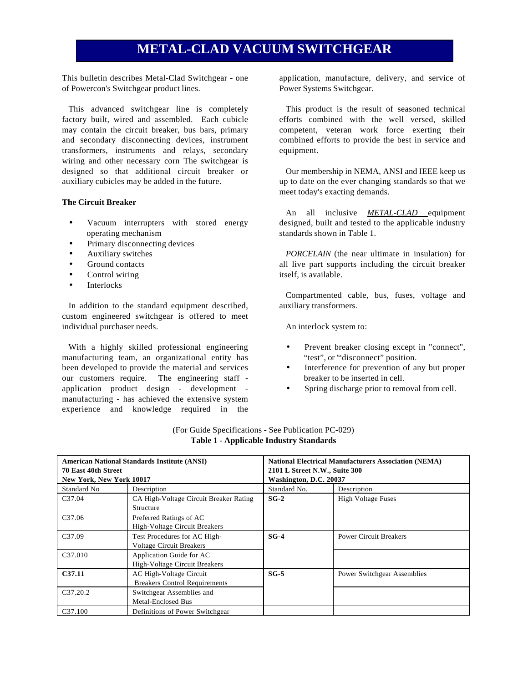### **METAL-CLAD VACUUM SWITCHGEAR**

This bulletin describes Metal-Clad Switchgear - one of Powercon's Switchgear product lines.

This advanced switchgear line is completely factory built, wired and assembled. Each cubicle may contain the circuit breaker, bus bars, primary and secondary disconnecting devices, instrument transformers, instruments and relays, secondary wiring and other necessary corn The switchgear is designed so that additional circuit breaker or auxiliary cubicles may be added in the future.

#### **The Circuit Breaker**

- Vacuum interrupters with stored energy operating mechanism
- Primary disconnecting devices
- Auxiliary switches
- Ground contacts
- Control wiring
- **Interlocks**

In addition to the standard equipment described, custom engineered switchgear is offered to meet individual purchaser needs.

With a highly skilled professional engineering manufacturing team, an organizational entity has been developed to provide the material and services our customers require. The engineering staff application product design - development manufacturing - has achieved the extensive system experience and knowledge required in the application, manufacture, delivery, and service of Power Systems Switchgear.

This product is the result of seasoned technical efforts combined with the well versed, skilled competent, veteran work force exerting their combined efforts to provide the best in service and equipment.

Our membership in NEMA, ANSI and IEEE keep us up to date on the ever changing standards so that we meet today's exacting demands.

An all inclusive **METAL-CLAD** equipment designed, built and tested to the applicable industry standards shown in Table 1.

*PORCELAIN* (the near ultimate in insulation) for all live part supports including the circuit breaker itself, is available.

Compartmented cable, bus, fuses, voltage and auxiliary transformers.

An interlock system to:

- Prevent breaker closing except in "connect", "test", or ""disconnect" position.
- Interference for prevention of any but proper breaker to be inserted in cell.
- Spring discharge prior to removal from cell.

| <b>American National Standards Institute (ANSI)</b><br>70 East 40th Street<br>New York, New York 10017 |                                                                 | <b>National Electrical Manufacturers Association (NEMA)</b><br>2101 L Street N.W., Suite 300<br>Washington, D.C. 20037 |                                    |  |
|--------------------------------------------------------------------------------------------------------|-----------------------------------------------------------------|------------------------------------------------------------------------------------------------------------------------|------------------------------------|--|
| Standard No                                                                                            | Description                                                     | Standard No.                                                                                                           | Description                        |  |
| C <sub>37.04</sub>                                                                                     | CA High-Voltage Circuit Breaker Rating<br>Structure             | $SG-2$                                                                                                                 | <b>High Voltage Fuses</b>          |  |
| C <sub>37.06</sub>                                                                                     | Preferred Ratings of AC<br>High-Voltage Circuit Breakers        |                                                                                                                        |                                    |  |
| C <sub>37.09</sub>                                                                                     | Test Procedures for AC High-<br><b>Voltage Circuit Breakers</b> | $SG-4$                                                                                                                 | <b>Power Circuit Breakers</b>      |  |
| C <sub>37.010</sub>                                                                                    | Application Guide for AC<br>High-Voltage Circuit Breakers       |                                                                                                                        |                                    |  |
| C <sub>37.11</sub>                                                                                     | AC High-Voltage Circuit<br><b>Breakers Control Requirements</b> | $SG-5$                                                                                                                 | <b>Power Switchgear Assemblies</b> |  |
| C <sub>37.20.2</sub>                                                                                   | Switchgear Assemblies and<br>Metal-Enclosed Bus                 |                                                                                                                        |                                    |  |
| C <sub>37.100</sub>                                                                                    | Definitions of Power Switchgear                                 |                                                                                                                        |                                    |  |

#### (For Guide Specifications - See Publication PC-029) **Table 1 - Applicable Industry Standards**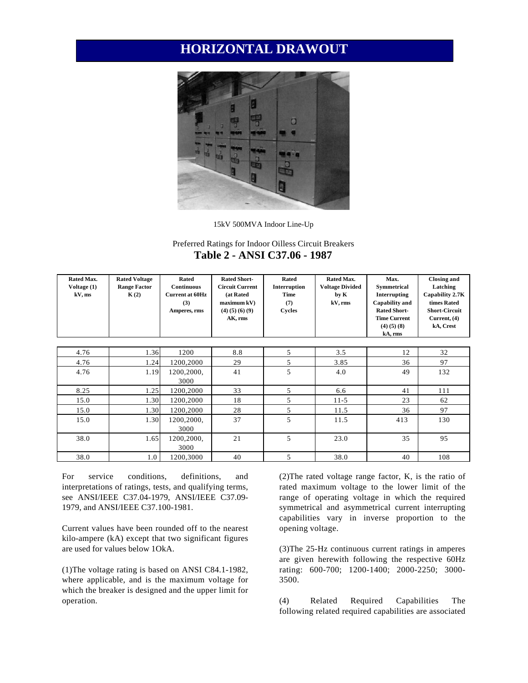### **HORIZONTAL DRAWOUT**



15kV 500MVA Indoor Line-Up

#### Preferred Ratings for Indoor Oilless Circuit Breakers **Table 2 - ANSI C37.06 - 1987**

| Rated Max.<br>Voltage (1)<br>kV, ms | <b>Rated Voltage</b><br><b>Range Factor</b><br>K(2) | Rated<br><b>Continuous</b><br><b>Current at 60Hz</b><br>(3)<br>Amperes, rms | <b>Rated Short-</b><br><b>Circuit Current</b><br>(at Rated<br>maximum kV)<br>$(4)$ $(5)$ $(6)$ $(9)$<br>AK, rms | Rated<br>Interruption<br><b>Time</b><br>(7)<br>Cycles | Rated Max.<br><b>Voltage Divided</b><br>by K<br>kV, rms | Max.<br>Symmetrical<br>Interrupting<br>Capability and<br><b>Rated Short-</b><br><b>Time Current</b><br>$(4)$ $(5)$ $(8)$<br>kA, rms | <b>Closing and</b><br>Latching<br>Capability 2.7K<br>times Rated<br><b>Short-Circuit</b><br>Current, (4)<br>kA, Crest |
|-------------------------------------|-----------------------------------------------------|-----------------------------------------------------------------------------|-----------------------------------------------------------------------------------------------------------------|-------------------------------------------------------|---------------------------------------------------------|-------------------------------------------------------------------------------------------------------------------------------------|-----------------------------------------------------------------------------------------------------------------------|
|                                     |                                                     |                                                                             |                                                                                                                 |                                                       |                                                         |                                                                                                                                     |                                                                                                                       |
| 4.76                                | 1.36                                                | 1200                                                                        | 8.8                                                                                                             | 5                                                     | 3.5                                                     | 12                                                                                                                                  | 32                                                                                                                    |
| 4.76                                | 1.24                                                | 1200,2000                                                                   | 29                                                                                                              | 5                                                     | 3.85                                                    | 36                                                                                                                                  | 97                                                                                                                    |
| 4.76                                | 1.19                                                | 1200,2000,<br>3000                                                          | 41                                                                                                              | 5                                                     | 4.0                                                     | 49                                                                                                                                  | 132                                                                                                                   |
| 8.25                                | 1.25                                                | 1200,2000                                                                   | 33                                                                                                              | 5                                                     | 6.6                                                     | 41                                                                                                                                  | 111                                                                                                                   |
| 15.0                                | 1.30                                                | 1200,2000                                                                   | 18                                                                                                              | 5                                                     | $11 - 5$                                                | 23                                                                                                                                  | 62                                                                                                                    |
| 15.0                                | 1.30                                                | 1200,2000                                                                   | 28                                                                                                              | 5                                                     | 11.5                                                    | 36                                                                                                                                  | 97                                                                                                                    |
| 15.0                                | 1.30                                                | 1200,2000,<br>3000                                                          | 37                                                                                                              | 5                                                     | 11.5                                                    | 413                                                                                                                                 | 130                                                                                                                   |
| 38.0                                | 1.65                                                | 1200,2000,<br>3000                                                          | 21                                                                                                              | 5                                                     | 23.0                                                    | 35                                                                                                                                  | 95                                                                                                                    |
| 38.0                                | 1.0                                                 | 1200.3000                                                                   | 40                                                                                                              | 5                                                     | 38.0                                                    | 40                                                                                                                                  | 108                                                                                                                   |

For service conditions, definitions, and interpretations of ratings, tests, and qualifying terms, see ANSI/IEEE C37.04-1979, ANSI/IEEE C37.09- 1979, and ANSI/IEEE C37.100-1981.

Current values have been rounded off to the nearest kilo-ampere (kA) except that two significant figures are used for values below 1OkA.

(1)The voltage rating is based on ANSI C84.1-1982, where applicable, and is the maximum voltage for which the breaker is designed and the upper limit for operation.

(2)The rated voltage range factor, K, is the ratio of rated maximum voltage to the lower limit of the range of operating voltage in which the required symmetrical and asymmetrical current interrupting capabilities vary in inverse proportion to the opening voltage.

(3)The 25-Hz continuous current ratings in amperes are given herewith following the respective 60Hz rating: 600-700; 1200-1400; 2000-2250; 3000- 3500.

(4) Related Required Capabilities The following related required capabilities are associated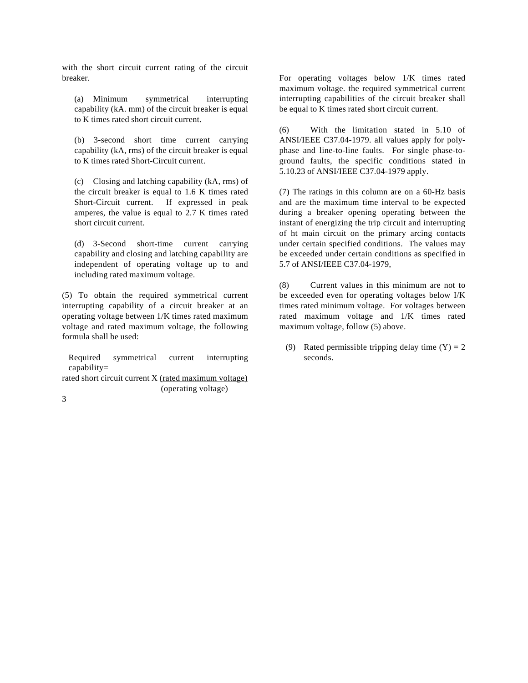with the short circuit current rating of the circuit breaker.

(a) Minimum symmetrical interrupting capability (kA. mm) of the circuit breaker is equal to K times rated short circuit current.

(b) 3-second short time current carrying capability (kA, rms) of the circuit breaker is equal to K times rated Short-Circuit current.

(c) Closing and latching capability (kA, rms) of the circuit breaker is equal to 1.6 K times rated Short-Circuit current. If expressed in peak amperes, the value is equal to 2.7 K times rated short circuit current.

(d) 3-Second short-time current carrying capability and closing and latching capability are independent of operating voltage up to and including rated maximum voltage.

(5) To obtain the required symmetrical current interrupting capability of a circuit breaker at an operating voltage between 1/K times rated maximum voltage and rated maximum voltage, the following formula shall be used:

Required symmetrical current interrupting capability=

rated short circuit current X (rated maximum voltage) (operating voltage)

3

For operating voltages below 1/K times rated maximum voltage. the required symmetrical current interrupting capabilities of the circuit breaker shall be equal to K times rated short circuit current.

(6) With the limitation stated in 5.10 of ANSI/IEEE C37.04-1979. all values apply for polyphase and line-to-line faults. For single phase-toground faults, the specific conditions stated in 5.10.23 of ANSI/IEEE C37.04-1979 apply.

(7) The ratings in this column are on a 60-Hz basis and are the maximum time interval to be expected during a breaker opening operating between the instant of energizing the trip circuit and interrupting of ht main circuit on the primary arcing contacts under certain specified conditions. The values may be exceeded under certain conditions as specified in 5.7 of ANSI/IEEE C37.04-1979,

(8) Current values in this minimum are not to be exceeded even for operating voltages below I/K times rated minimum voltage. For voltages between rated maximum voltage and 1/K times rated maximum voltage, follow (5) above.

(9) Rated permissible tripping delay time  $(Y) = 2$ seconds.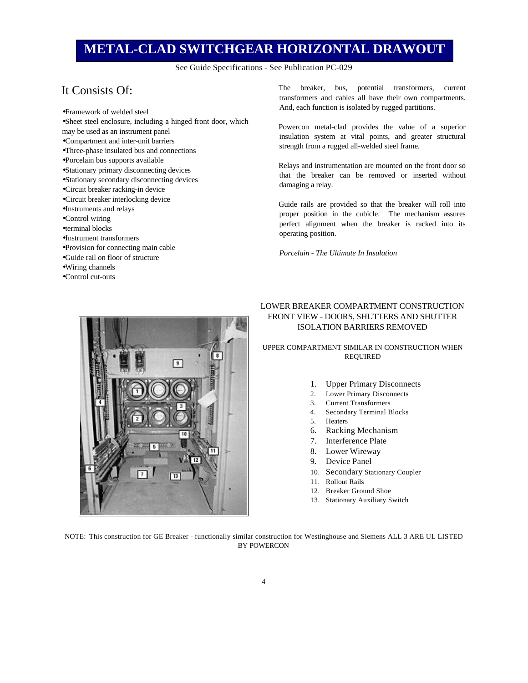### **METAL-CLAD SWITCHGEAR HORIZONTAL DRAWOUT**

See Guide Specifications - See Publication PC-029

#### It Consists Of:

- Framework of welded steel • Sheet steel enclosure, including a hinged front door, which may be used as an instrument panel • Compartment and inter-unit barriers
- Three-phase insulated bus and connections
- Porcelain bus supports available
- Stationary primary disconnecting devices
- Stationary secondary disconnecting devices
- Circuit breaker racking-in device
- Circuit breaker interlocking device
- Instruments and relays
- Control wiring
- terminal blocks
- Instrument transformers
- Provision for connecting main cable
- Guide rail on floor of structure
- Wiring channels
- Control cut-outs

The breaker, bus, potential transformers, current transformers and cables all have their own compartments. And, each function is isolated by rugged partitions.

Powercon metal-clad provides the value of a superior insulation system at vital points, and greater structural strength from a rugged all-welded steel frame.

Relays and instrumentation are mounted on the front door so that the breaker can be removed or inserted without damaging a relay.

Guide rails are provided so that the breaker will roll into proper position in the cubicle. The mechanism assures perfect alignment when the breaker is racked into its operating position.

*Porcelain - The Ultimate In Insulation*



#### LOWER BREAKER COMPARTMENT CONSTRUCTION FRONT VIEW - DOORS, SHUTTERS AND SHUTTER ISOLATION BARRIERS REMOVED

UPPER COMPARTMENT SIMILAR IN CONSTRUCTION WHEN REQUIRED

- 1. Upper Primary Disconnects
- 2. Lower Primary Disconnects
- 3. Current Transformers
- 4. Secondary Terminal Blocks
- 5. Heaters
- 6. Racking Mechanism
- 7. Interference Plate
- 8. Lower Wireway
- 9. Device Panel
- 10. Secondary Stationary Coupler
- 11. Rollout Rails
- 12. Breaker Ground Shoe
- 13. Stationary Auxiliary Switch

NOTE: This construction for GE Breaker - functionally similar construction for Westinghouse and Siemens ALL 3 ARE UL LISTED BY POWERCON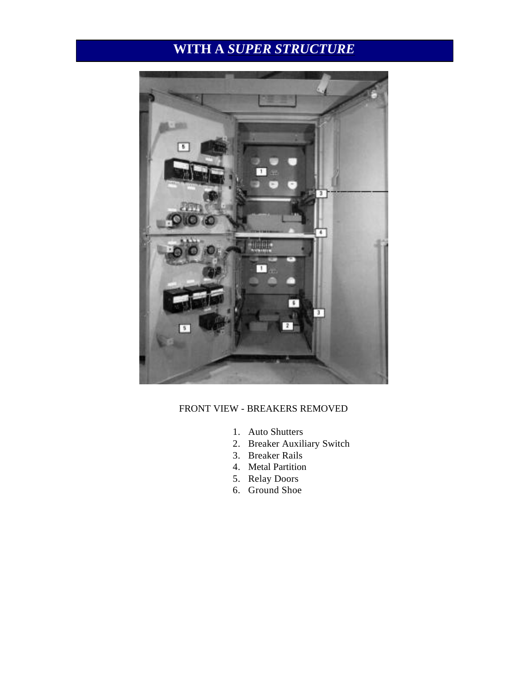## **WITH A** *SUPER STRUCTURE*



#### FRONT VIEW - BREAKERS REMOVED

- 1. Auto Shutters
- 2. Breaker Auxiliary Switch
- 3. Breaker Rails
- 4. Metal Partition
- 5. Relay Doors
- 6. Ground Shoe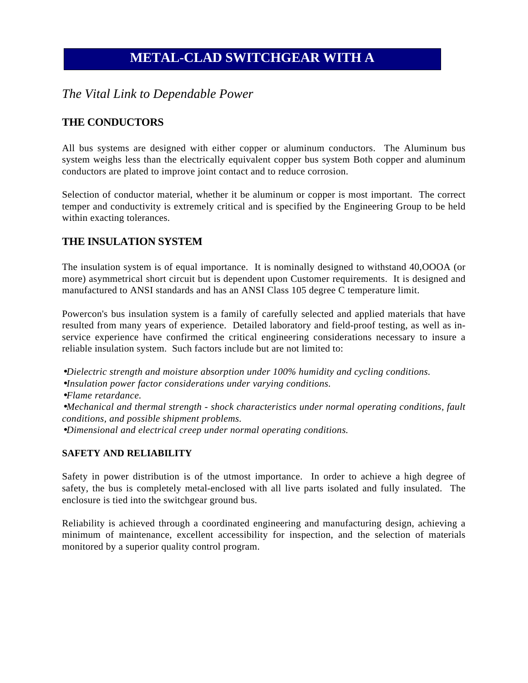## **METAL-CLAD SWITCHGEAR WITH A**

### *The Vital Link to Dependable Power*

#### **THE CONDUCTORS**

All bus systems are designed with either copper or aluminum conductors. The Aluminum bus system weighs less than the electrically equivalent copper bus system Both copper and aluminum conductors are plated to improve joint contact and to reduce corrosion.

Selection of conductor material, whether it be aluminum or copper is most important. The correct temper and conductivity is extremely critical and is specified by the Engineering Group to be held within exacting tolerances.

#### **THE INSULATION SYSTEM**

The insulation system is of equal importance. It is nominally designed to withstand 40,OOOA (or more) asymmetrical short circuit but is dependent upon Customer requirements. It is designed and manufactured to ANSI standards and has an ANSI Class 105 degree C temperature limit.

Powercon's bus insulation system is a family of carefully selected and applied materials that have resulted from many years of experience. Detailed laboratory and field-proof testing, as well as inservice experience have confirmed the critical engineering considerations necessary to insure a reliable insulation system. Such factors include but are not limited to:

• *Dielectric strength and moisture absorption under 100% humidity and cycling conditions.* • *Insulation power factor considerations under varying conditions.* • *Flame retardance.* • *Mechanical and thermal strength - shock characteristics under normal operating conditions, fault conditions, and possible shipment problems.* • *Dimensional and electrical creep under normal operating conditions.*

#### **SAFETY AND RELIABILITY**

Safety in power distribution is of the utmost importance. In order to achieve a high degree of safety, the bus is completely metal-enclosed with all live parts isolated and fully insulated. The enclosure is tied into the switchgear ground bus.

Reliability is achieved through a coordinated engineering and manufacturing design, achieving a minimum of maintenance, excellent accessibility for inspection, and the selection of materials monitored by a superior quality control program.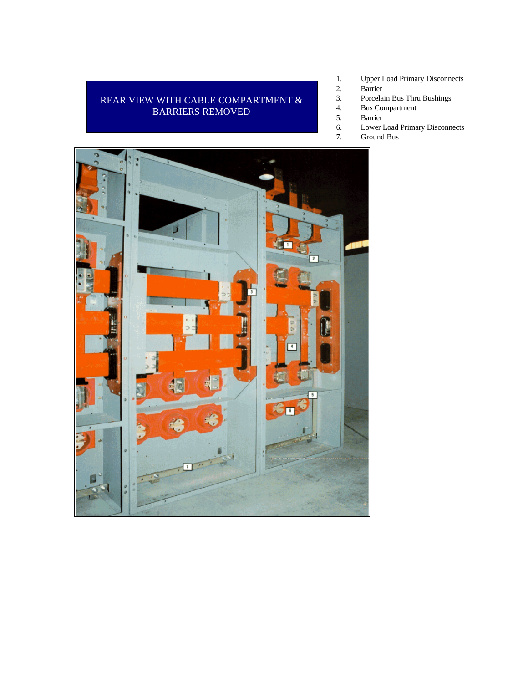#### REAR VIEW WITH CABLE COMPARTMENT & BARRIERS REMOVED

- 1. Upper Load Primary Disconnects<br>2. Barrier
	- Barrier
- 3. Porcelain Bus Thru Bushings
- 4. Bus Compartment<br>5. Barrier
	- 5. Barrier
- 6. Lower Load Primary Disconnects
- 7. Ground Bus

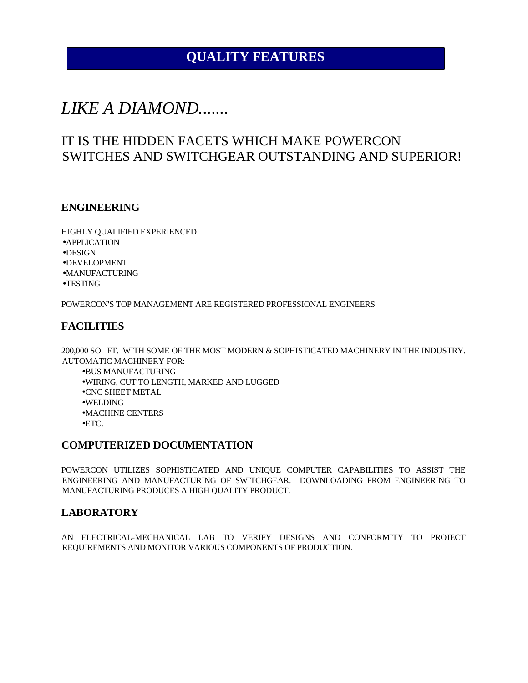## **QUALITY FEATURES**

## *LIKE A DIAMOND.......*

## IT IS THE HIDDEN FACETS WHICH MAKE POWERCON SWITCHES AND SWITCHGEAR OUTSTANDING AND SUPERIOR!

#### **ENGINEERING**

HIGHLY QUALIFIED EXPERIENCED • APPLICATION • DESIGN • DEVELOPMENT • MANUFACTURING • TESTING

POWERCON'S TOP MANAGEMENT ARE REGISTERED PROFESSIONAL ENGINEERS

#### **FACILITIES**

200,000 SO. FT. WITH SOME OF THE MOST MODERN & SOPHISTICATED MACHINERY IN THE INDUSTRY. AUTOMATIC MACHINERY FOR:

- BUS MANUFACTURING
- WIRING, CUT TO LENGTH, MARKED AND LUGGED
- CNC SHEET METAL
- WELDING

• MACHINE CENTERS

 $\bullet$  ETC.

#### **COMPUTERIZED DOCUMENTATION**

POWERCON UTILIZES SOPHISTICATED AND UNIQUE COMPUTER CAPABILITIES TO ASSIST THE ENGINEERING AND MANUFACTURING OF SWITCHGEAR. DOWNLOADING FROM ENGINEERING TO MANUFACTURING PRODUCES A HIGH QUALITY PRODUCT.

#### **LABORATORY**

AN ELECTRICAL-MECHANICAL LAB TO VERIFY DESIGNS AND CONFORMITY TO PROJECT REQUIREMENTS AND MONITOR VARIOUS COMPONENTS OF PRODUCTION.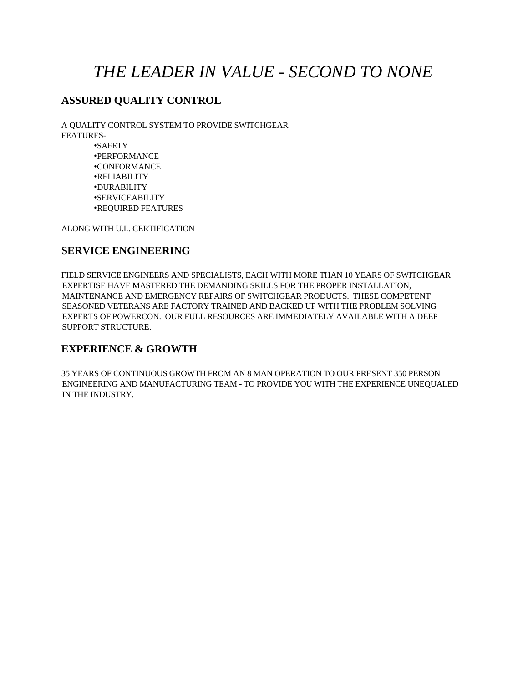## *THE LEADER IN VALUE - SECOND TO NONE*

### **ASSURED QUALITY CONTROL**

A QUALITY CONTROL SYSTEM TO PROVIDE SWITCHGEAR FEATURES-

> • SAFETY • PERFORMANCE • CONFORMANCE • RELIABILITY • DURABILITY • SERVICEABILITY • REQUIRED FEATURES

ALONG WITH U.L. CERTIFICATION

#### **SERVICE ENGINEERING**

FIELD SERVICE ENGINEERS AND SPECIALISTS, EACH WITH MORE THAN 10 YEARS OF SWITCHGEAR EXPERTISE HAVE MASTERED THE DEMANDING SKILLS FOR THE PROPER INSTALLATION, MAINTENANCE AND EMERGENCY REPAIRS OF SWITCHGEAR PRODUCTS. THESE COMPETENT SEASONED VETERANS ARE FACTORY TRAINED AND BACKED UP WITH THE PROBLEM SOLVING EXPERTS OF POWERCON. OUR FULL RESOURCES ARE IMMEDIATELY AVAILABLE WITH A DEEP SUPPORT STRUCTURE.

#### **EXPERIENCE & GROWTH**

35 YEARS OF CONTINUOUS GROWTH FROM AN 8 MAN OPERATION TO OUR PRESENT 350 PERSON ENGINEERING AND MANUFACTURING TEAM - TO PROVIDE YOU WITH THE EXPERIENCE UNEQUALED IN THE INDUSTRY.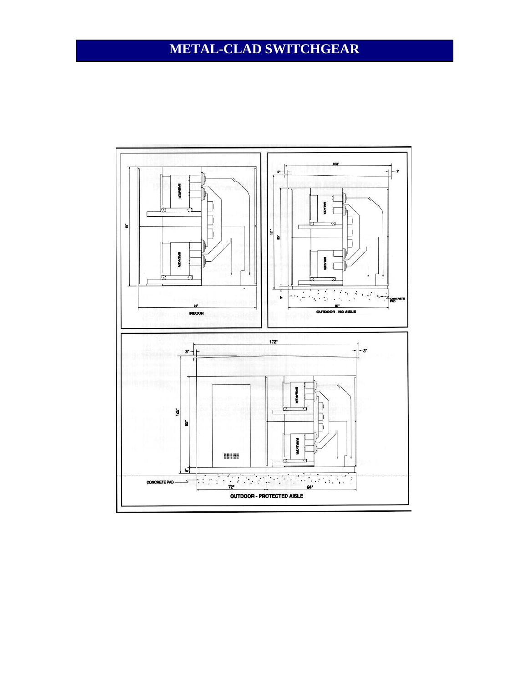## **METAL-CLAD SWITCHGEAR**

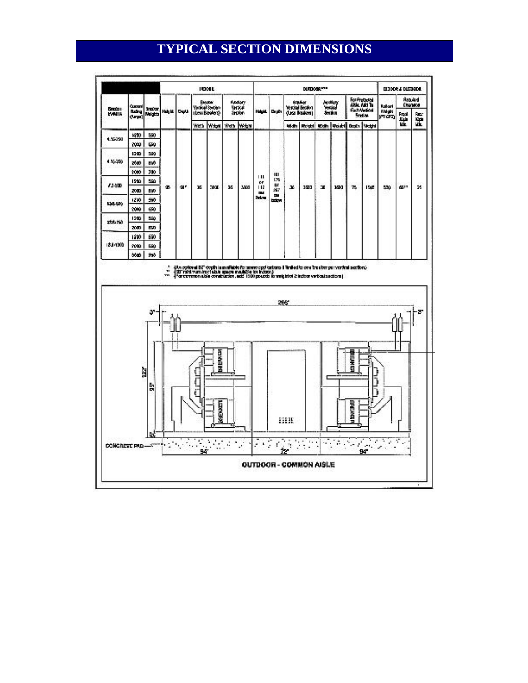## **TYPICAL SECTION DIMENSIONS**

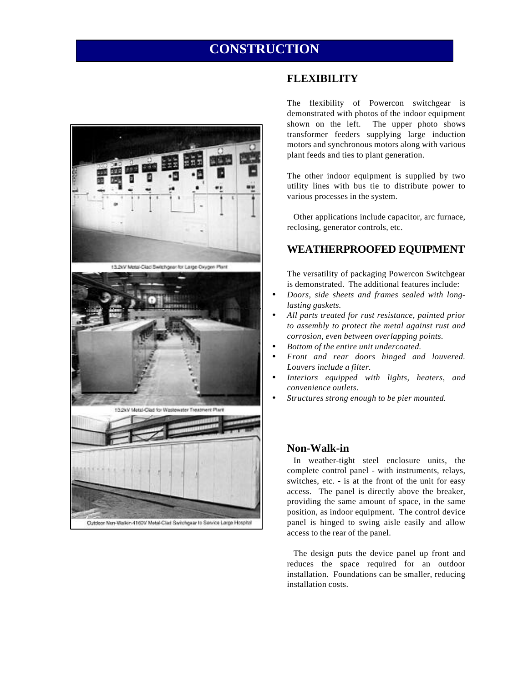## **CONSTRUCTION**



#### **FLEXIBILITY**

The flexibility of Powercon switchgear is demonstrated with photos of the indoor equipment shown on the left. The upper photo shows transformer feeders supplying large induction motors and synchronous motors along with various plant feeds and ties to plant generation.

The other indoor equipment is supplied by two utility lines with bus tie to distribute power to various processes in the system.

Other applications include capacitor, arc furnace, reclosing, generator controls, etc.

#### **WEATHERPROOFED EQUIPMENT**

The versatility of packaging Powercon Switchgear is demonstrated. The additional features include:

- *Doors, side sheets and frames sealed with longlasting gaskets.*
- *All parts treated for rust resistance, painted prior to assembly to protect the metal against rust and corrosion, even between overlapping points.*
- *Bottom of the entire unit undercoated.*
- *Front and rear doors hinged and louvered. Louvers include a filter.*
- *Interiors equipped with lights, heaters, and convenience outlets.*
- *Structures strong enough to be pier mounted.*

#### **Non-Walk-in**

In weather-tight steel enclosure units, the complete control panel - with instruments, relays, switches, etc. - is at the front of the unit for easy access. The panel is directly above the breaker, providing the same amount of space, in the same position, as indoor equipment. The control device panel is hinged to swing aisle easily and allow access to the rear of the panel.

The design puts the device panel up front and reduces the space required for an outdoor installation. Foundations can be smaller, reducing installation costs.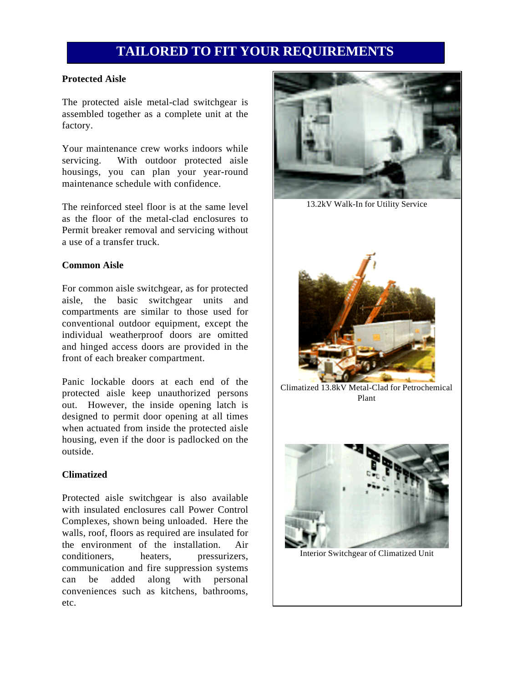## **TAILORED TO FIT YOUR REQUIREMENTS**

#### **Protected Aisle**

The protected aisle metal-clad switchgear is assembled together as a complete unit at the factory.

Your maintenance crew works indoors while servicing. With outdoor protected aisle housings, you can plan your year-round maintenance schedule with confidence.

The reinforced steel floor is at the same level as the floor of the metal-clad enclosures to Permit breaker removal and servicing without a use of a transfer truck.

#### **Common Aisle**

For common aisle switchgear, as for protected aisle, the basic switchgear units and compartments are similar to those used for conventional outdoor equipment, except the individual weatherproof doors are omitted and hinged access doors are provided in the front of each breaker compartment.

Panic lockable doors at each end of the protected aisle keep unauthorized persons out. However, the inside opening latch is designed to permit door opening at all times when actuated from inside the protected aisle housing, even if the door is padlocked on the outside.

#### **Climatized**

Protected aisle switchgear is also available with insulated enclosures call Power Control Complexes, shown being unloaded. Here the walls, roof, floors as required are insulated for the environment of the installation. Air conditioners, heaters, pressurizers, communication and fire suppression systems can be added along with personal conveniences such as kitchens, bathrooms, etc.



13.2kV Walk-In for Utility Service



Climatized 13.8kV Metal-Clad for Petrochemical Plant



Interior Switchgear of Climatized Unit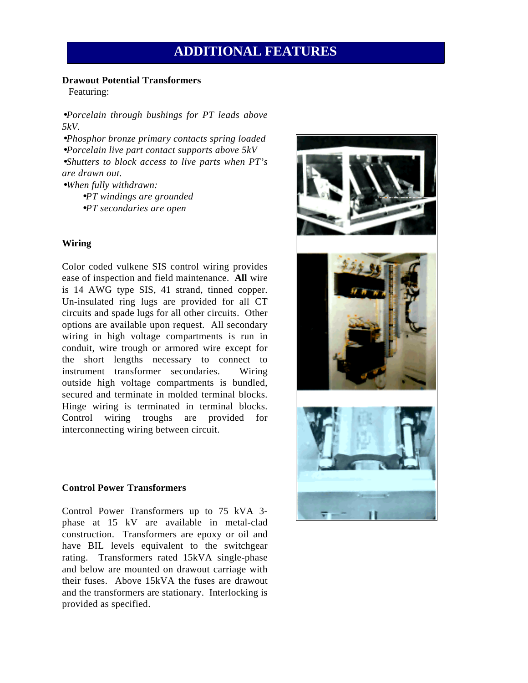## **ADDITIONAL FEATURES**

#### **Drawout Potential Transformers**

Featuring:

• *Porcelain through bushings for PT leads above 5kV.*

• *Phosphor bronze primary contacts spring loaded* • *Porcelain live part contact supports above 5kV* • *Shutters to block access to live parts when PT's are drawn out.*

• *When fully withdrawn:* • *PT windings are grounded* • *PT secondaries are open*

#### **Wiring**

Color coded vulkene SIS control wiring provides ease of inspection and field maintenance. **All** wire is 14 AWG type SIS, 41 strand, tinned copper. Un-insulated ring lugs are provided for all CT circuits and spade lugs for all other circuits. Other options are available upon request. All secondary wiring in high voltage compartments is run in conduit, wire trough or armored wire except for the short lengths necessary to connect to instrument transformer secondaries. Wiring outside high voltage compartments is bundled, secured and terminate in molded terminal blocks. Hinge wiring is terminated in terminal blocks. Control wiring troughs are provided for interconnecting wiring between circuit.

#### **Control Power Transformers**

Control Power Transformers up to 75 kVA 3 phase at 15 kV are available in metal-clad construction. Transformers are epoxy or oil and have BIL levels equivalent to the switchgear rating. Transformers rated 15kVA single-phase and below are mounted on drawout carriage with their fuses. Above 15kVA the fuses are drawout and the transformers are stationary. Interlocking is provided as specified.

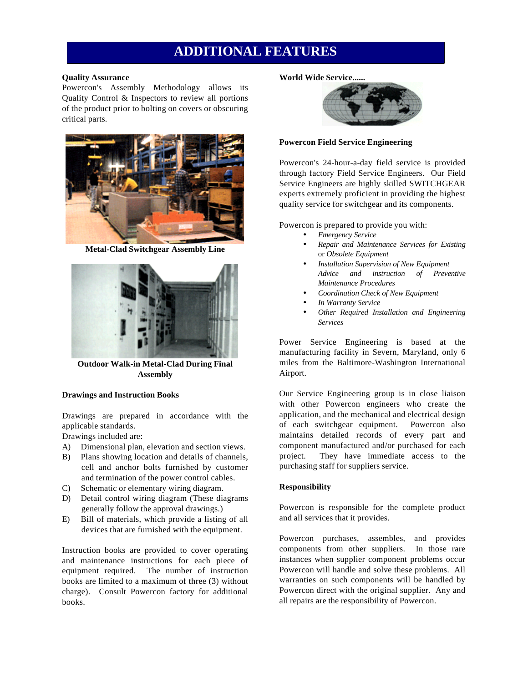## **ADDITIONAL FEATURES**

#### **Quality Assurance**

Powercon's Assembly Methodology allows its Quality Control & Inspectors to review all portions of the product prior to bolting on covers or obscuring critical parts.



**Metal-Clad Switchgear Assembly Line**



**Outdoor Walk-in Metal-Clad During Final Assembly**

#### **Drawings and Instruction Books**

Drawings are prepared in accordance with the applicable standards.

Drawings included are:

- A) Dimensional plan, elevation and section views.
- B) Plans showing location and details of channels, cell and anchor bolts furnished by customer and termination of the power control cables.
- C) Schematic or elementary wiring diagram.
- D) Detail control wiring diagram (These diagrams generally follow the approval drawings.)
- E) Bill of materials, which provide a listing of all devices that are furnished with the equipment.

Instruction books are provided to cover operating and maintenance instructions for each piece of equipment required. The number of instruction books are limited to a maximum of three (3) without charge). Consult Powercon factory for additional books.

#### **World Wide Service......**



#### **Powercon Field Service Engineering**

Powercon's 24-hour-a-day field service is provided through factory Field Service Engineers. Our Field Service Engineers are highly skilled SWITCHGEAR experts extremely proficient in providing the highest quality service for switchgear and its components.

Powercon is prepared to provide you with:

- *Emergency Service*
- *Repair and Maintenance Services for Existing* or *Obsolete Equipment*
- *Installation Supervision of New Equipment Advice and instruction of Preventive Maintenance Procedures*
- *Coordination Check of New Equipment*
- *In Warranty Service*
- *Other Required Installation and Engineering Services*

Power Service Engineering is based at the manufacturing facility in Severn, Maryland, only 6 miles from the Baltimore-Washington International Airport.

Our Service Engineering group is in close liaison with other Powercon engineers who create the application, and the mechanical and electrical design of each switchgear equipment. Powercon also maintains detailed records of every part and component manufactured and/or purchased for each project. They have immediate access to the purchasing staff for suppliers service.

#### **Responsibility**

Powercon is responsible for the complete product and all services that it provides.

Powercon purchases, assembles, and provides components from other suppliers. In those rare instances when supplier component problems occur Powercon will handle and solve these problems. All warranties on such components will be handled by Powercon direct with the original supplier. Any and all repairs are the responsibility of Powercon.